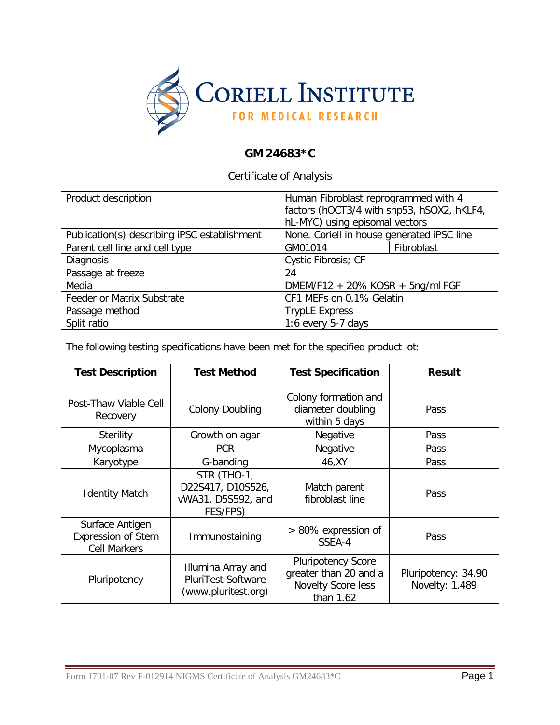

## **GM 24683\*C**

Certificate of Analysis

| Product description                          | Human Fibroblast reprogrammed with 4       |  |  |
|----------------------------------------------|--------------------------------------------|--|--|
|                                              | factors (hOCT3/4 with shp53, hSOX2, hKLF4, |  |  |
|                                              | hL-MYC) using episomal vectors             |  |  |
| Publication(s) describing iPSC establishment | None. Coriell in house generated iPSC line |  |  |
| Parent cell line and cell type               | Fibroblast<br>GM01014                      |  |  |
| <b>Diagnosis</b>                             | Cystic Fibrosis; CF                        |  |  |
| Passage at freeze                            | 24                                         |  |  |
| Media                                        | DMEM/F12 + 20% KOSR + 5ng/ml FGF           |  |  |
| Feeder or Matrix Substrate                   | CF1 MEFs on 0.1% Gelatin                   |  |  |
| Passage method                               | <b>TrypLE Express</b>                      |  |  |
| Split ratio                                  | 1:6 every $5-7$ days                       |  |  |

The following testing specifications have been met for the specified product lot:

| <b>Test Description</b>                                                                | <b>Test Method</b>                                                 | <b>Test Specification</b>                                                             | <b>Result</b>                         |
|----------------------------------------------------------------------------------------|--------------------------------------------------------------------|---------------------------------------------------------------------------------------|---------------------------------------|
| Post-Thaw Viable Cell<br>Recovery                                                      | <b>Colony Doubling</b>                                             | Colony formation and<br>diameter doubling<br>within 5 days                            | Pass                                  |
| Sterility                                                                              | Growth on agar                                                     | Negative                                                                              | Pass                                  |
| Mycoplasma                                                                             | <b>PCR</b>                                                         | Negative                                                                              | Pass                                  |
| Karyotype                                                                              | G-banding                                                          | 46, XY                                                                                | Pass                                  |
| <b>Identity Match</b>                                                                  | STR (THO-1,<br>D22S417, D10S526,<br>vWA31, D5S592, and<br>FES/FPS) | Match parent<br>fibroblast line                                                       | Pass                                  |
| Surface Antigen<br><b>Expression of Stem</b><br><b>Cell Markers</b>                    | Immunostaining                                                     | > 80% expression of<br>SSEA-4                                                         | Pass                                  |
| Illumina Array and<br><b>PluriTest Software</b><br>Pluripotency<br>(www.pluritest.org) |                                                                    | <b>Pluripotency Score</b><br>greater than 20 and a<br>Novelty Score less<br>than 1.62 | Pluripotency: 34.90<br>Novelty: 1.489 |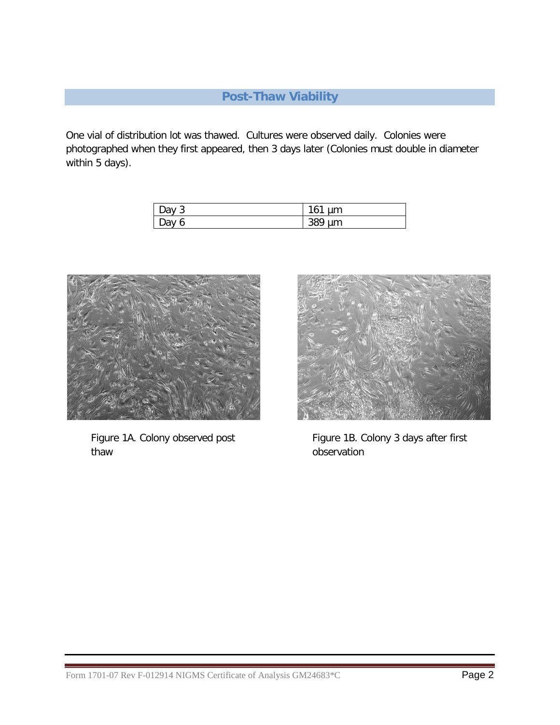# **Post-Thaw Viability**

One vial of distribution lot was thawed. Cultures were observed daily. Colonies were photographed when they first appeared, then 3 days later (Colonies must double in diameter within 5 days).

| Jav 1<br>u           | 16<br>-<br>μm          |
|----------------------|------------------------|
| $\mathsf{D}$ av<br>ь | ാറെ<br>μm<br><b>JO</b> |



Figure 1A. Colony observed post thaw



Figure 1B. Colony 3 days after first observation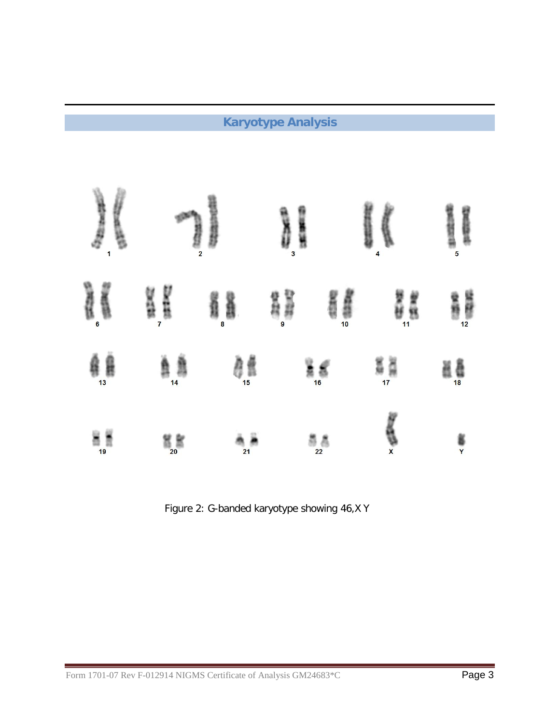# **Karyotype Analysis**

| <b>Service</b> | Î              | <b>Superintents</b> | l  | 医细胞性病         | <b>Reader</b><br>$\overline{\mathbf{A}}$ | $\frac{1}{2}$<br>高坡城市<br>$\overline{5}$ |
|----------------|----------------|---------------------|----|---------------|------------------------------------------|-----------------------------------------|
| ene<br>1       | H              | រំ៖                 | 智慧 | SEER          | e<br>Vi                                  |                                         |
| éj             | $\frac{1}{4}$  | 醇                   |    | å 6           | ia<br>17                                 | ăê                                      |
| $\frac{1}{19}$ | $\frac{1}{20}$ | $\frac{1}{21}$      |    | $\frac{3}{2}$ | <b>REA</b>                               | Į                                       |

Figure 2: G-banded karyotype showing 46,X Y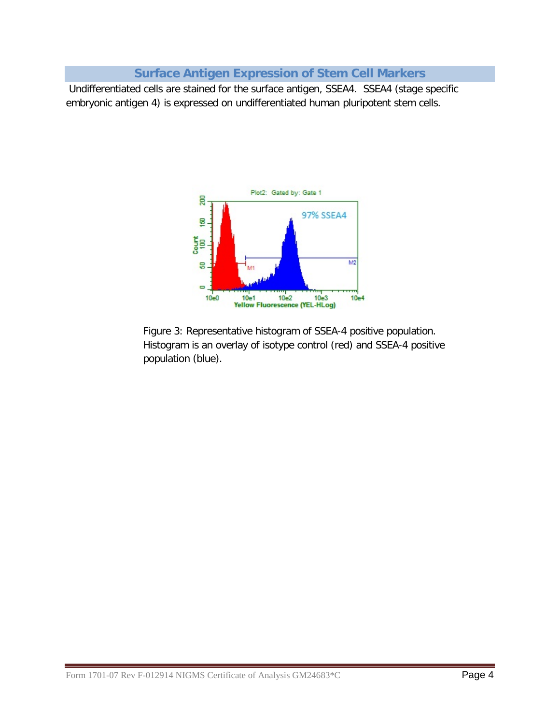## **Surface Antigen Expression of Stem Cell Markers**

Undifferentiated cells are stained for the surface antigen, SSEA4. SSEA4 (stage specific embryonic antigen 4) is expressed on undifferentiated human pluripotent stem cells.



Figure 3: Representative histogram of SSEA-4 positive population. Histogram is an overlay of isotype control (red) and SSEA-4 positive population (blue).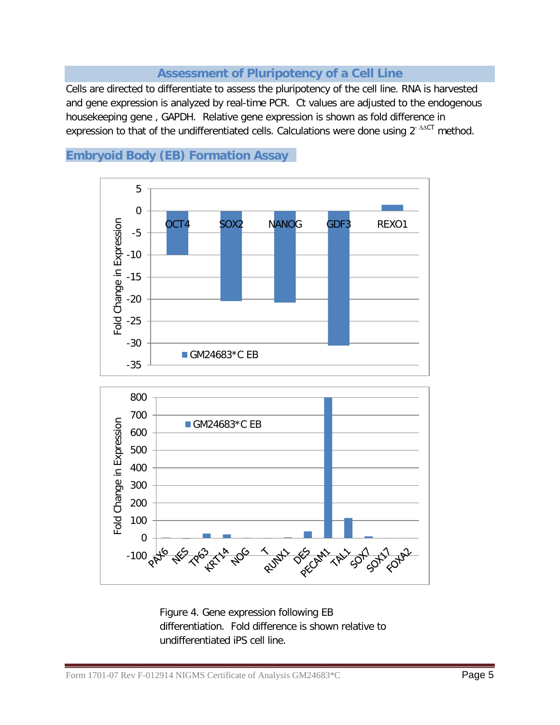## **Assessment of Pluripotency of a Cell Line**

Cells are directed to differentiate to assess the pluripotency of the cell line. RNA is harvested and gene expression is analyzed by real-time PCR. Ct values are adjusted to the endogenous housekeeping gene , GAPDH. Relative gene expression is shown as fold difference in expression to that of the undifferentiated cells. Calculations were done using 2<sup>- ∆∆CT</sup> method.



## **Embryoid Body (EB) Formation Assay**

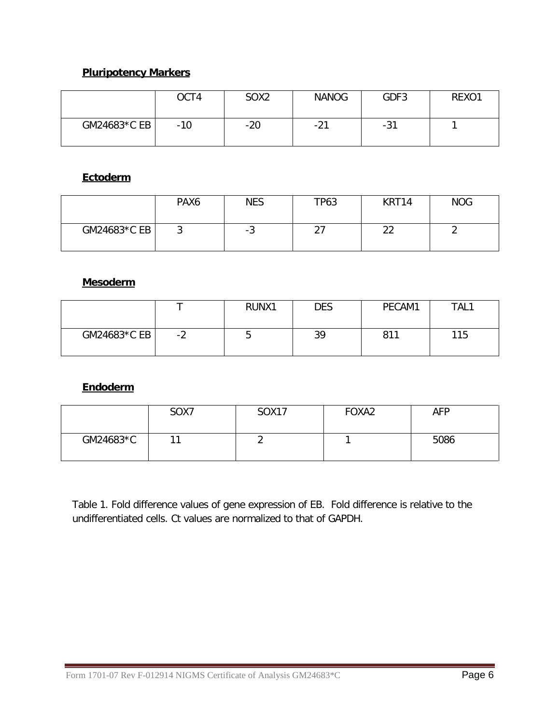## **Pluripotency Markers**

|              | OCT4  | SOX <sub>2</sub> | <b>NANOG</b> | GDF3  | REXO1 |
|--------------|-------|------------------|--------------|-------|-------|
| GM24683*C EB | $-10$ | $-20$            | $-21$        | $-31$ |       |

## **Ectoderm**

|              | PAX6 | <b>NES</b> | <b>TP63</b> | KRT14               | <b>NOG</b> |
|--------------|------|------------|-------------|---------------------|------------|
| GM24683*C EB | ັ    | ن-         | ົ<br>، ے    | $\sim$<br><u>__</u> |            |

## **Mesoderm**

|                |    | RUNX1 | <b>DES</b> | PECAM1 | TAL1 |
|----------------|----|-------|------------|--------|------|
| $GM24683*C EB$ | -2 | ັ     | 39         | 811    | 115  |

#### **Endoderm**

|           | SOX7 | <b>SOX17</b> | FOXA2 | <b>AFP</b> |
|-----------|------|--------------|-------|------------|
| GM24683*C |      |              |       | 5086       |

Table 1. Fold difference values of gene expression of EB. Fold difference is relative to the undifferentiated cells. Ct values are normalized to that of GAPDH.